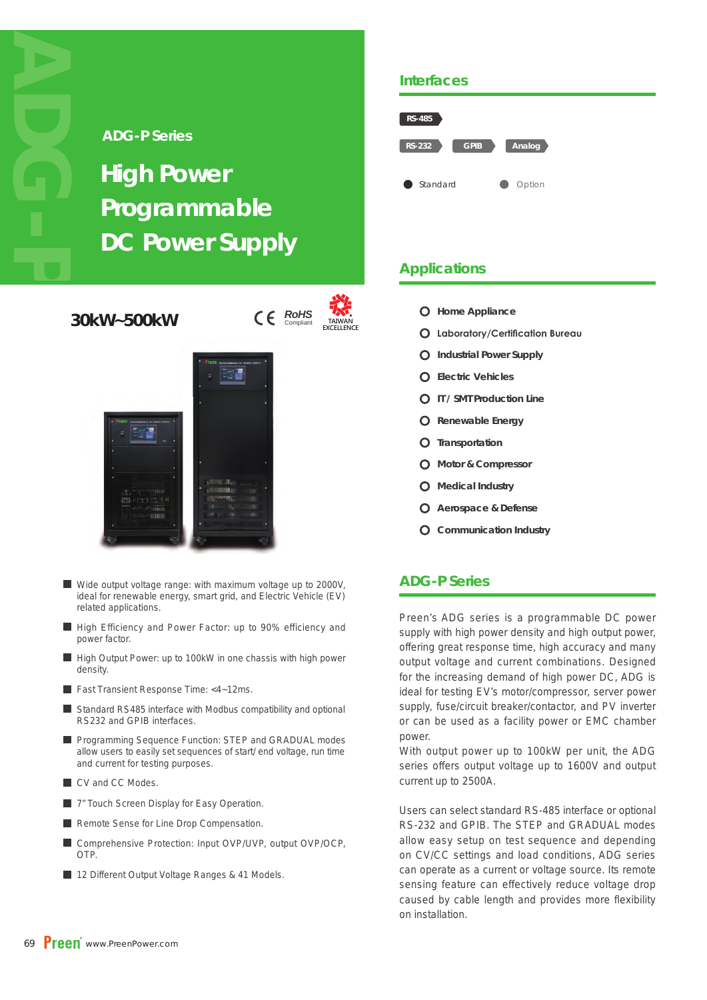#### **ADG-P Series**

# **High Power Programmable DC Power Supply**

**30kW~500kW**

**RoHS Compliant** *TAIWAN* 



- Wide output voltage range: with maximum voltage up to 2000V, ideal for renewable energy, smart grid, and Electric Vehicle (EV) related applications.
- High Efficiency and Power Factor: up to 90% efficiency and power factor.
- High Output Power: up to 100kW in one chassis with high power density.
- Fast Transient Response Time: <4~12ms.
- Standard RS485 interface with Modbus compatibility and optional RS232 and GPIB interfaces.
- **Programming Sequence Function: STEP and GRADUAL modes** allow users to easily set sequences of start/ end voltage, run time and current for testing purposes.
- CV and CC Modes.
- **7**" Touch Screen Display for Easy Operation.
- Remote Sense for Line Drop Compensation.
- Comprehensive Protection: Input OVP/UVP, output OVP/OCP, OTP.
- 12 Different Output Voltage Ranges & 41 Models.

#### **Interfaces**



## **Applications**

- **Home Appliance**
- **O** Laboratory/Certification Bureau
- **Industrial Power Supply**
- **Electric Vehicles**
- **IT / SMT Production Line**
- **Renewable Energy**
- **Transportation**
- **Motor & Compressor**
- **Medical Industry**
- **Aerospace & Defense**
- **Communication Industry**

### **ADG-P Series**

Preen's ADG series is a programmable DC power supply with high power density and high output power, offering great response time, high accuracy and many output voltage and current combinations. Designed for the increasing demand of high power DC, ADG is ideal for testing EV's motor/compressor, server power supply, fuse/circuit breaker/contactor, and PV inverter or can be used as a facility power or EMC chamber power.

With output power up to 100kW per unit, the ADG series offers output voltage up to 1600V and output current up to 2500A.

Users can select standard RS-485 interface or optional RS-232 and GPIB. The STEP and GRADUAL modes allow easy setup on test sequence and depending on CV/CC settings and load conditions, ADG series can operate as a current or voltage source. Its remote sensing feature can effectively reduce voltage drop caused by cable length and provides more flexibility on installation.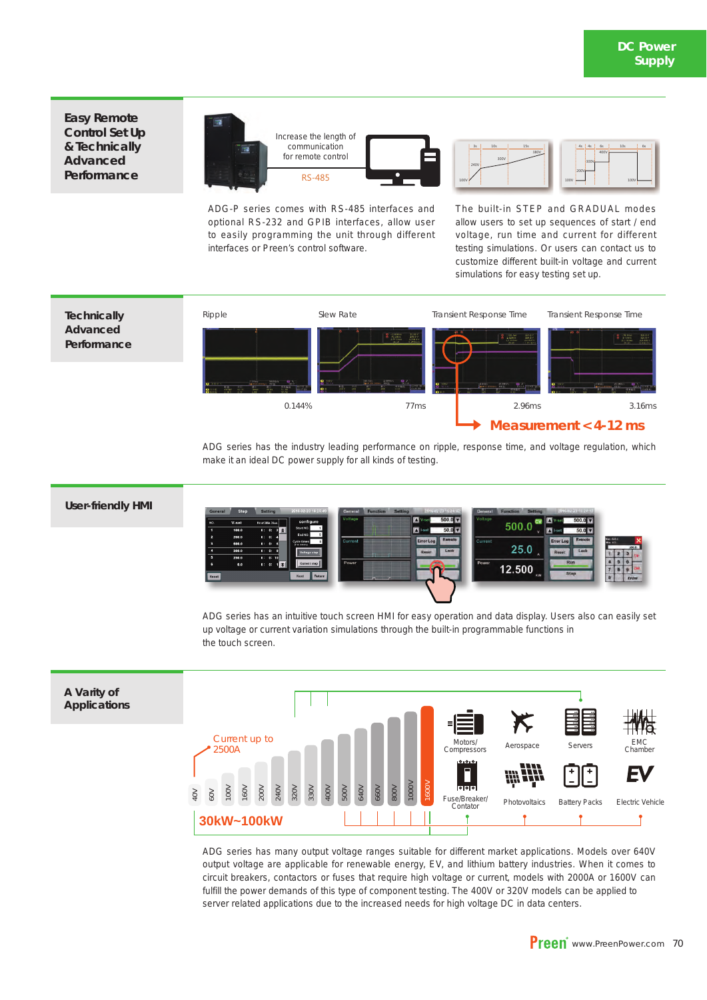**Easy Remote Control Set Up & Technically Advanced Performance**



ADG-P series comes with RS-485 interfaces and optional RS-232 and GPIB interfaces, allow user to easily programming the unit through different interfaces or Preen's control software.





ADG series has the industry leading performance on ripple, response time, and voltage regulation, which make it an ideal DC power supply for all kinds of testing.

#### **User-friendly HMI**



ADG series has an intuitive touch screen HMI for easy operation and data display. Users also can easily set up voltage or current variation simulations through the built-in programmable functions in the touch screen.



ADG series has many output voltage ranges suitable for different market applications. Models over 640V output voltage are applicable for renewable energy, EV, and lithium battery industries. When it comes to circuit breakers, contactors or fuses that require high voltage or current, models with 2000A or 1600V can fulfill the power demands of this type of component testing. The 400V or 320V models can be applied to server related applications due to the increased needs for high voltage DC in data centers.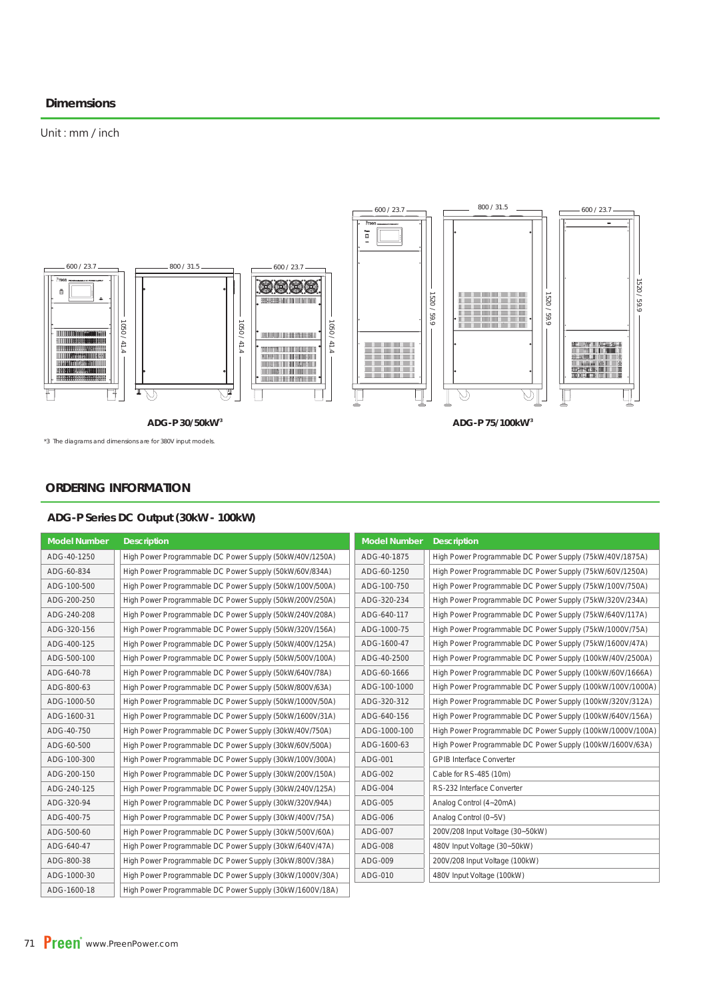#### **Dimemsions**

#### Unit: mm / inch



\*3 The diagrams and dimensions are for 380V input models.

#### **ORDERING INFORMATION**

#### **ADG-P Series DC Output (30kW - 100kW)**

| <b>Model Number</b> | <b>Description</b>                                       | <b>Model Number</b> | <b>Description</b>                                         |
|---------------------|----------------------------------------------------------|---------------------|------------------------------------------------------------|
| ADG-40-1250         | High Power Programmable DC Power Supply (50kW/40V/1250A) | ADG-40-1875         | High Power Programmable DC Power Supply (75kW/40V/1875A)   |
| ADG-60-834          | High Power Programmable DC Power Supply (50kW/60V/834A)  | ADG-60-1250         | High Power Programmable DC Power Supply (75kW/60V/1250A)   |
| ADG-100-500         | High Power Programmable DC Power Supply (50kW/100V/500A) | ADG-100-750         | High Power Programmable DC Power Supply (75kW/100V/750A)   |
| ADG-200-250         | High Power Programmable DC Power Supply (50kW/200V/250A) | ADG-320-234         | High Power Programmable DC Power Supply (75kW/320V/234A)   |
| ADG-240-208         | High Power Programmable DC Power Supply (50kW/240V/208A) | ADG-640-117         | High Power Programmable DC Power Supply (75kW/640V/117A)   |
| ADG-320-156         | High Power Programmable DC Power Supply (50kW/320V/156A) | ADG-1000-75         | High Power Programmable DC Power Supply (75kW/1000V/75A)   |
| ADG-400-125         | High Power Programmable DC Power Supply (50kW/400V/125A) | ADG-1600-47         | High Power Programmable DC Power Supply (75kW/1600V/47A)   |
| ADG-500-100         | High Power Programmable DC Power Supply (50kW/500V/100A) | ADG-40-2500         | High Power Programmable DC Power Supply (100kW/40V/2500A)  |
| ADG-640-78          | High Power Programmable DC Power Supply (50kW/640V/78A)  | ADG-60-1666         | High Power Programmable DC Power Supply (100kW/60V/1666A)  |
| ADG-800-63          | High Power Programmable DC Power Supply (50kW/800V/63A)  | ADG-100-1000        | High Power Programmable DC Power Supply (100kW/100V/1000A) |
| ADG-1000-50         | High Power Programmable DC Power Supply (50kW/1000V/50A) | ADG-320-312         | High Power Programmable DC Power Supply (100kW/320V/312A)  |
| ADG-1600-31         | High Power Programmable DC Power Supply (50kW/1600V/31A) | ADG-640-156         | High Power Programmable DC Power Supply (100kW/640V/156A)  |
| ADG-40-750          | High Power Programmable DC Power Supply (30kW/40V/750A)  | ADG-1000-100        | High Power Programmable DC Power Supply (100kW/1000V/100A) |
| ADG-60-500          | High Power Programmable DC Power Supply (30kW/60V/500A)  | ADG-1600-63         | High Power Programmable DC Power Supply (100kW/1600V/63A)  |
| ADG-100-300         | High Power Programmable DC Power Supply (30kW/100V/300A) | ADG-001             | <b>GPIB Interface Converter</b>                            |
| ADG-200-150         | High Power Programmable DC Power Supply (30kW/200V/150A) | ADG-002             | Cable for RS-485 (10m)                                     |
| ADG-240-125         | High Power Programmable DC Power Supply (30kW/240V/125A) | ADG-004             | RS-232 Interface Converter                                 |
| ADG-320-94          | High Power Programmable DC Power Supply (30kW/320V/94A)  | ADG-005             | Analog Control (4~20mA)                                    |
| ADG-400-75          | High Power Programmable DC Power Supply (30kW/400V/75A)  | ADG-006             | Analog Control (0~5V)                                      |
| ADG-500-60          | High Power Programmable DC Power Supply (30kW/500V/60A)  | ADG-007             | 200V/208 Input Voltage (30~50kW)                           |
| ADG-640-47          | High Power Programmable DC Power Supply (30kW/640V/47A)  | ADG-008             | 480V Input Voltage (30~50kW)                               |
| ADG-800-38          | High Power Programmable DC Power Supply (30kW/800V/38A)  | ADG-009             | 200V/208 Input Voltage (100kW)                             |
| ADG-1000-30         | High Power Programmable DC Power Supply (30kW/1000V/30A) | ADG-010             | 480V Input Voltage (100kW)                                 |
| ADG-1600-18         | High Power Programmable DC Power Supply (30kW/1600V/18A) |                     |                                                            |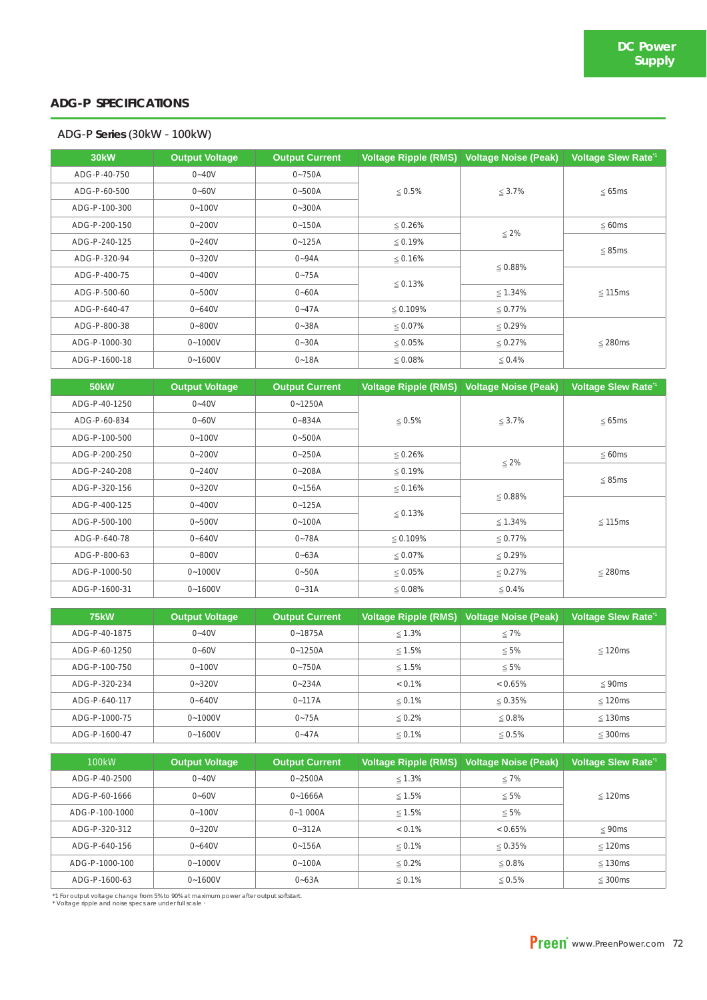#### **ADG-P SPECIFICATIONS**

#### **ADG-P Series (30kW - 100kW)**

| <b>30kW</b>   | <b>Output Voltage</b> | <b>Output Current</b> | <b>Voltage Ripple (RMS)</b> | <b>Voltage Noise (Peak)</b> | <b>Voltage Slew Rate<sup>1</sup></b> |
|---------------|-----------------------|-----------------------|-----------------------------|-----------------------------|--------------------------------------|
| ADG-P-40-750  | $0 - 40V$             | $0 - 750A$            |                             |                             |                                      |
| ADG-P-60-500  | $0 - 60V$             | $0 - 500A$            | $\leq 0.5\%$                | $\leq 3.7\%$                | $\leq 65ms$                          |
| ADG-P-100-300 | $0 - 100V$            | $0 - 300A$            |                             |                             |                                      |
| ADG-P-200-150 | $0 - 200V$            | $0 - 150A$            | $\leq 0.26\%$               |                             | $\leq 60ms$                          |
| ADG-P-240-125 | $0 - 240V$            | $0 - 125A$            | $\leq 0.19\%$               | $\leq 2\%$                  |                                      |
| ADG-P-320-94  | $0 - 320V$            | $0 - 94A$             | $\leq 0.16\%$               |                             | $\leq$ 85ms                          |
| ADG-P-400-75  | $0 - 400V$            | $0 - 75A$             |                             | $\leq 0.88\%$               |                                      |
| ADG-P-500-60  | $0 - 500V$            | $0 - 60A$             | $\leq 0.13\%$               | $\leq 1.34\%$               | $\leq$ 115ms                         |
| ADG-P-640-47  | $0 - 640V$            | $0 - 47A$             | $\leq 0.109\%$              | $\leq 0.77\%$               |                                      |
| ADG-P-800-38  | $0 - 800V$            | $0 - 38A$             | $\leq 0.07\%$               | $\leq 0.29\%$               |                                      |
| ADG-P-1000-30 | $0 - 1000V$           | $0 - 30A$             | $\leq 0.05\%$               | $\leq 0.27\%$               | $\leq$ 280ms                         |
| ADG-P-1600-18 | $0 - 1600V$           | $0 - 18A$             | $\leq 0.08\%$               | $\leq 0.4\%$                |                                      |

| <b>50kW</b>   | <b>Output Voltage</b> | <b>Output Current</b> | <b>Voltage Ripple (RMS)</b> | <b>Voltage Noise (Peak)</b> | <b>Voltage Slew Rate<sup>1</sup></b> |  |
|---------------|-----------------------|-----------------------|-----------------------------|-----------------------------|--------------------------------------|--|
| ADG-P-40-1250 | $0 - 40V$             | $0 - 1250A$           |                             |                             |                                      |  |
| ADG-P-60-834  | $0 - 60V$             | $0 - 834A$            | $\leq 0.5\%$                | $\leq 3.7\%$                | $\leq 65ms$                          |  |
| ADG-P-100-500 | $0 - 100V$            | $0 - 500A$            |                             |                             |                                      |  |
| ADG-P-200-250 | $0 - 200V$            | $0 - 250A$            | $\leq 0.26\%$               |                             | $\leq$ 60ms                          |  |
| ADG-P-240-208 | $0 - 240V$            | $0 - 208A$            | $\leq 0.19\%$               | $\leq 2\%$                  |                                      |  |
| ADG-P-320-156 | $0 - 320V$            | $0 - 156A$            | $\leq 0.16\%$               |                             | $\leq$ 85ms                          |  |
| ADG-P-400-125 | $0 - 400V$            | $0 - 125A$            |                             | $\leq 0.88\%$               |                                      |  |
| ADG-P-500-100 | $0 - 500V$            | $0 - 100A$            | $\leq 0.13\%$               | $\leq 1.34\%$               | $≤ 115ms$                            |  |
| ADG-P-640-78  | $0 - 640V$            | $0 - 78A$             | ≤ 0.109%                    | $\leq 0.77\%$               |                                      |  |
| ADG-P-800-63  | $0 - 800V$            | $0 - 63A$             | $\leq 0.07\%$               | $\leq 0.29\%$               |                                      |  |
| ADG-P-1000-50 | $0 - 1000V$           | $0 - 50A$             | $\leq 0.05\%$               | $\leq 0.27\%$               | $\leq$ 280ms                         |  |
| ADG-P-1600-31 | $0 - 1600V$           | $0 - 31A$             | $\leq 0.08\%$               | $\leq 0.4\%$                |                                      |  |

| <b>75kW</b>   | <b>Output Voltage</b> | <b>Output Current</b> | <b>Voltage Ripple (RMS)</b> | <b>Voltage Noise (Peak)</b> | <b>Voltage Slew Rate<sup>1</sup></b> |
|---------------|-----------------------|-----------------------|-----------------------------|-----------------------------|--------------------------------------|
| ADG-P-40-1875 | $0 - 40V$             | $0 - 1875A$           | $\leq 1.3\%$                | $\leq 7\%$                  |                                      |
| ADG-P-60-1250 | $0 - 60V$             | $0 - 1250A$           | ≤ 1.5%                      | $\leq 5\%$                  | $\leq$ 120ms                         |
| ADG-P-100-750 | $0 - 100V$            | $0 - 750A$            | ≤ 1.5%                      | $\leq 5\%$                  |                                      |
| ADG-P-320-234 | $0 - 320V$            | $0 - 234A$            | $< 0.1\%$                   | $< 0.65\%$                  | $\leq$ 90ms                          |
| ADG-P-640-117 | $0 - 640V$            | $0 - 117A$            | $\leq 0.1\%$                | $\leq 0.35\%$               | $\leq$ 120ms                         |
| ADG-P-1000-75 | $0 - 1000V$           | $0 - 75A$             | $\leq 0.2\%$                | $\leq 0.8\%$                | $\leq$ 130ms                         |
| ADG-P-1600-47 | $0 - 1600V$           | $0 - 47A$             | $\leq 0.1\%$                | $\leq 0.5\%$                | $\leq$ 300ms                         |

| 100 <sub>k</sub> W | <b>Output Voltage</b> | <b>Output Current</b> | Voltage Ripple (RMS) | <b>Voltage Noise (Peak)</b> | Voltage Slew Rate <sup>1</sup> |
|--------------------|-----------------------|-----------------------|----------------------|-----------------------------|--------------------------------|
| ADG-P-40-2500      | $0 - 40V$             | $0 - 2500A$           | $\leq 1.3\%$         | ≤ 7%                        |                                |
| ADG-P-60-1666      | $0 - 60V$             | $0 - 1666A$           | $≤ 1.5%$             | $\leq 5\%$                  | $\leq$ 120ms                   |
| ADG-P-100-1000     | $0 - 100V$            | $0 - 1000A$           | ≤ 1.5%               | $\leq 5\%$                  |                                |
| ADG-P-320-312      | $0 - 320V$            | $0 - 312A$            | $< 0.1\%$            | $< 0.65\%$                  | $\leq$ 90ms                    |
| ADG-P-640-156      | $0 - 640V$            | $0 - 156A$            | $\leq 0.1\%$         | $\leq 0.35\%$               | $\leq$ 120ms                   |
| ADG-P-1000-100     | $0 - 1000V$           | $0 - 100A$            | $\leq 0.2\%$         | $\leq 0.8\%$                | $\leq$ 130ms                   |
| ADG-P-1600-63      | $0 - 1600V$           | $0 - 63A$             | $\leq 0.1\%$         | $\leq 0.5\%$                | $\leq$ 300ms                   |

\*1 For output voltage change from 5% to 90% at maximum power after output softstart.<br>\* Voltage ripple and noise specs are under full scale \*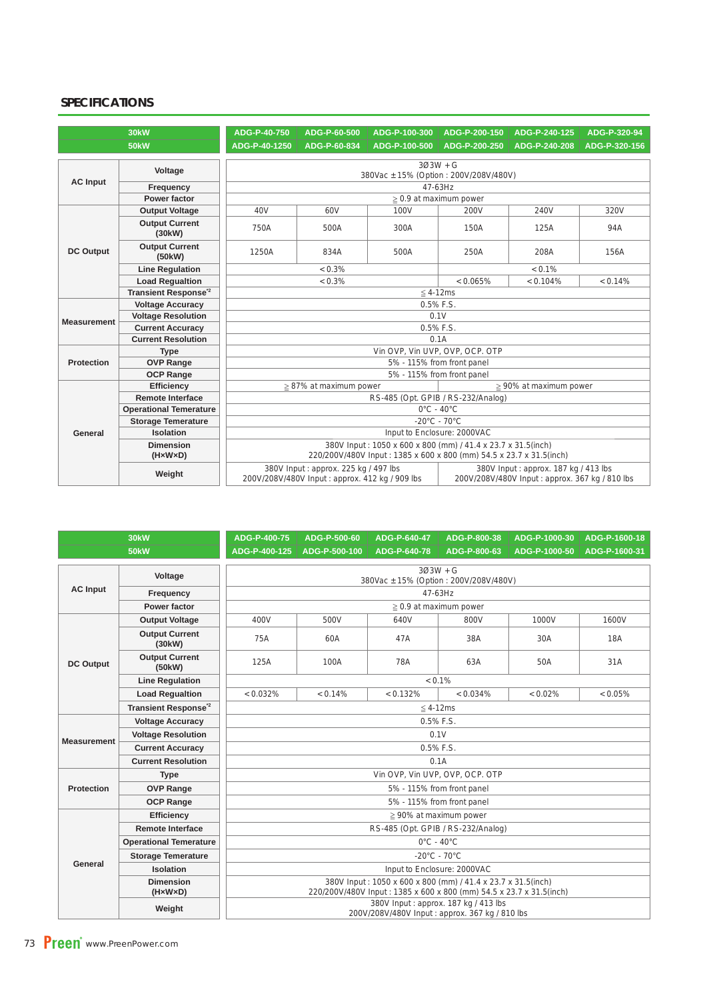### **SPECIFICATIONS**

| <b>30kW</b>        |                                 | ADG-P-40-750                          | ADG-P-60-500                                                                           | ADG-P-100-300                                                       | ADG-P-200-150                      | ADG-P-240-125                                                                          | ADG-P-320-94  |  |  |  |
|--------------------|---------------------------------|---------------------------------------|----------------------------------------------------------------------------------------|---------------------------------------------------------------------|------------------------------------|----------------------------------------------------------------------------------------|---------------|--|--|--|
| <b>50kW</b>        |                                 | ADG-P-40-1250                         | ADG-P-60-834                                                                           | ADG-P-100-500                                                       | ADG-P-200-250                      | ADG-P-240-208                                                                          | ADG-P-320-156 |  |  |  |
|                    |                                 | $303W + G$                            |                                                                                        |                                                                     |                                    |                                                                                        |               |  |  |  |
|                    | Voltage                         | 380Vac ± 15% (Option: 200V/208V/480V) |                                                                                        |                                                                     |                                    |                                                                                        |               |  |  |  |
| <b>AC Input</b>    | Frequency                       |                                       | 47-63Hz                                                                                |                                                                     |                                    |                                                                                        |               |  |  |  |
|                    | Power factor                    | $\geq$ 0.9 at maximum power           |                                                                                        |                                                                     |                                    |                                                                                        |               |  |  |  |
|                    | <b>Output Voltage</b>           | 40 <sub>V</sub>                       | 60V                                                                                    | 100V                                                                | 200V                               | 240V                                                                                   | 320V          |  |  |  |
| <b>DC Output</b>   | <b>Output Current</b><br>(30kW) | 750A                                  | 500A                                                                                   | 300A                                                                | 150A                               | 125A                                                                                   | 94A           |  |  |  |
|                    | <b>Output Current</b><br>(50kW) | 1250A                                 | 834A                                                                                   | 500A                                                                | 250A                               | 208A                                                                                   | 156A          |  |  |  |
|                    | <b>Line Regulation</b>          |                                       | $< 0.3\%$                                                                              |                                                                     | $< 0.1\%$                          |                                                                                        |               |  |  |  |
|                    | <b>Load Requaltion</b>          |                                       | $< 0.3\%$                                                                              |                                                                     |                                    | $< 0.104\%$                                                                            | < 0.14%       |  |  |  |
|                    | Transient Response <sup>2</sup> |                                       |                                                                                        |                                                                     | $\leq$ 4-12ms                      |                                                                                        |               |  |  |  |
|                    | <b>Voltage Accuracy</b>         | 0.5% F.S.                             |                                                                                        |                                                                     |                                    |                                                                                        |               |  |  |  |
| <b>Measurement</b> | <b>Voltage Resolution</b>       | 0.1V                                  |                                                                                        |                                                                     |                                    |                                                                                        |               |  |  |  |
|                    | <b>Current Accuracy</b>         |                                       |                                                                                        | 0.5% F.S.                                                           |                                    |                                                                                        |               |  |  |  |
|                    | <b>Current Resolution</b>       |                                       | 0.1A                                                                                   |                                                                     |                                    |                                                                                        |               |  |  |  |
|                    | <b>Type</b>                     |                                       |                                                                                        |                                                                     | Vin OVP, Vin UVP, OVP, OCP. OTP    |                                                                                        |               |  |  |  |
| <b>Protection</b>  | <b>OVP Range</b>                |                                       |                                                                                        |                                                                     | 5% - 115% from front panel         |                                                                                        |               |  |  |  |
|                    | <b>OCP Range</b>                |                                       |                                                                                        |                                                                     | 5% - 115% from front panel         |                                                                                        |               |  |  |  |
|                    | <b>Efficiency</b>               |                                       | $\geq$ 87% at maximum power                                                            |                                                                     |                                    | $\geq 90\%$ at maximum power                                                           |               |  |  |  |
|                    | <b>Remote Interface</b>         |                                       |                                                                                        |                                                                     | RS-485 (Opt. GPIB / RS-232/Analog) |                                                                                        |               |  |  |  |
|                    | <b>Operational Temerature</b>   |                                       |                                                                                        |                                                                     | $0^{\circ}$ C - 40 $^{\circ}$ C    |                                                                                        |               |  |  |  |
|                    | <b>Storage Temerature</b>       |                                       |                                                                                        |                                                                     | $-20^{\circ}$ C - 70 $^{\circ}$ C  |                                                                                        |               |  |  |  |
| General            | Isolation                       |                                       |                                                                                        |                                                                     | Input to Enclosure: 2000VAC        |                                                                                        |               |  |  |  |
|                    | <b>Dimension</b>                |                                       |                                                                                        | 380V Input: 1050 x 600 x 800 (mm) / 41.4 x 23.7 x 31.5(inch)        |                                    |                                                                                        |               |  |  |  |
|                    | $(H \times W \times D)$         |                                       |                                                                                        | 220/200V/480V Input: 1385 x 600 x 800 (mm) 54.5 x 23.7 x 31.5(inch) |                                    |                                                                                        |               |  |  |  |
|                    | Weight                          |                                       | 380V Input: approx. 225 kg / 497 lbs<br>200V/208V/480V Input: approx. 412 kg / 909 lbs |                                                                     |                                    | 380V Input: approx. 187 kg / 413 lbs<br>200V/208V/480V Input: approx. 367 kg / 810 lbs |               |  |  |  |

| <b>30kW</b>        |                                 | ADG-P-400-75                 | ADG-P-500-60                                        | ADG-P-640-47                                                        | ADG-P-800-38                                                                           | ADG-P-1000-30 | ADG-P-1600-18 |  |  |  |  |  |
|--------------------|---------------------------------|------------------------------|-----------------------------------------------------|---------------------------------------------------------------------|----------------------------------------------------------------------------------------|---------------|---------------|--|--|--|--|--|
|                    | <b>50kW</b>                     | ADG-P-400-125                | ADG-P-500-100                                       | ADG-P-640-78                                                        | ADG-P-800-63                                                                           | ADG-P-1000-50 | ADG-P-1600-31 |  |  |  |  |  |
|                    | Voltage                         |                              | $303W + G$<br>380Vac ± 15% (Option: 200V/208V/480V) |                                                                     |                                                                                        |               |               |  |  |  |  |  |
| <b>AC Input</b>    | Frequency                       | 47-63Hz                      |                                                     |                                                                     |                                                                                        |               |               |  |  |  |  |  |
|                    | <b>Power factor</b>             |                              | $\geq$ 0.9 at maximum power                         |                                                                     |                                                                                        |               |               |  |  |  |  |  |
|                    | <b>Output Voltage</b>           | 400V                         | 500V                                                | 640V                                                                | 800V                                                                                   | 1000V         | 1600V         |  |  |  |  |  |
| <b>DC Output</b>   | <b>Output Current</b><br>(30kW) | <b>75A</b>                   | 60A                                                 | 47A                                                                 | 38A                                                                                    | 30A           | <b>18A</b>    |  |  |  |  |  |
|                    | <b>Output Current</b><br>(50kW) | 125A                         | 100A                                                | 78A                                                                 | 63A                                                                                    | 50A           | 31A           |  |  |  |  |  |
|                    | <b>Line Regulation</b>          |                              | $< 0.1\%$                                           |                                                                     |                                                                                        |               |               |  |  |  |  |  |
|                    | <b>Load Regualtion</b>          | < 0.032%                     | < 0.14%                                             | < 0.132%                                                            | < 0.034%                                                                               | < 0.02%       | $< 0.05\%$    |  |  |  |  |  |
|                    | Transient Response <sup>2</sup> |                              |                                                     | $\leq$ 4-12ms                                                       |                                                                                        |               |               |  |  |  |  |  |
|                    | <b>Voltage Accuracy</b>         | 0.5% F.S.                    |                                                     |                                                                     |                                                                                        |               |               |  |  |  |  |  |
| <b>Measurement</b> | <b>Voltage Resolution</b>       | 0.1V                         |                                                     |                                                                     |                                                                                        |               |               |  |  |  |  |  |
|                    | <b>Current Accuracy</b>         | 0.5% F.S.                    |                                                     |                                                                     |                                                                                        |               |               |  |  |  |  |  |
|                    | <b>Current Resolution</b>       | 0.1A                         |                                                     |                                                                     |                                                                                        |               |               |  |  |  |  |  |
|                    | <b>Type</b>                     |                              |                                                     | Vin OVP, Vin UVP, OVP, OCP. OTP                                     |                                                                                        |               |               |  |  |  |  |  |
| <b>Protection</b>  | <b>OVP Range</b>                |                              | 5% - 115% from front panel                          |                                                                     |                                                                                        |               |               |  |  |  |  |  |
|                    | <b>OCP Range</b>                |                              |                                                     | 5% - 115% from front panel                                          |                                                                                        |               |               |  |  |  |  |  |
|                    | Efficiency                      | $\geq 90\%$ at maximum power |                                                     |                                                                     |                                                                                        |               |               |  |  |  |  |  |
|                    | <b>Remote Interface</b>         |                              |                                                     | RS-485 (Opt. GPIB / RS-232/Analog)                                  |                                                                                        |               |               |  |  |  |  |  |
|                    | <b>Operational Temerature</b>   |                              |                                                     | $0^{\circ}$ C - 40 $^{\circ}$ C                                     |                                                                                        |               |               |  |  |  |  |  |
| General            | <b>Storage Temerature</b>       |                              |                                                     | $-20^{\circ}$ C - 70 $^{\circ}$ C                                   |                                                                                        |               |               |  |  |  |  |  |
|                    | <b>Isolation</b>                |                              |                                                     | Input to Enclosure: 2000VAC                                         |                                                                                        |               |               |  |  |  |  |  |
|                    | <b>Dimension</b>                |                              |                                                     | 380V Input: 1050 x 600 x 800 (mm) / 41.4 x 23.7 x 31.5(inch)        |                                                                                        |               |               |  |  |  |  |  |
|                    | $(H \times W \times D)$         |                              |                                                     | 220/200V/480V Input: 1385 x 600 x 800 (mm) 54.5 x 23.7 x 31.5(inch) |                                                                                        |               |               |  |  |  |  |  |
|                    | Weight                          |                              |                                                     |                                                                     | 380V Input: approx. 187 kg / 413 lbs<br>200V/208V/480V Input: approx. 367 kg / 810 lbs |               |               |  |  |  |  |  |